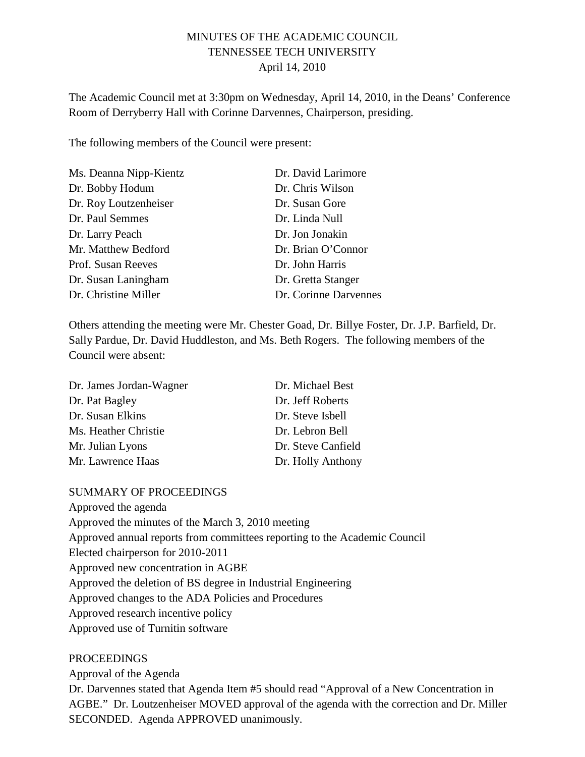# MINUTES OF THE ACADEMIC COUNCIL TENNESSEE TECH UNIVERSITY April 14, 2010

The Academic Council met at 3:30pm on Wednesday, April 14, 2010, in the Deans' Conference Room of Derryberry Hall with Corinne Darvennes, Chairperson, presiding.

The following members of the Council were present:

| Ms. Deanna Nipp-Kientz | Dr. David Larimore    |
|------------------------|-----------------------|
| Dr. Bobby Hodum        | Dr. Chris Wilson      |
| Dr. Roy Loutzenheiser  | Dr. Susan Gore        |
| Dr. Paul Semmes        | Dr. Linda Null        |
| Dr. Larry Peach        | Dr. Jon Jonakin       |
| Mr. Matthew Bedford    | Dr. Brian O'Connor    |
| Prof. Susan Reeves     | Dr. John Harris       |
| Dr. Susan Laningham    | Dr. Gretta Stanger    |
| Dr. Christine Miller   | Dr. Corinne Darvennes |

Others attending the meeting were Mr. Chester Goad, Dr. Billye Foster, Dr. J.P. Barfield, Dr. Sally Pardue, Dr. David Huddleston, and Ms. Beth Rogers. The following members of the Council were absent:

| Dr. James Jordan-Wagner | Dr. Michael Best   |
|-------------------------|--------------------|
| Dr. Pat Bagley          | Dr. Jeff Roberts   |
| Dr. Susan Elkins        | Dr. Steve Isbell   |
| Ms. Heather Christie    | Dr. Lebron Bell    |
| Mr. Julian Lyons        | Dr. Steve Canfield |
| Mr. Lawrence Haas       | Dr. Holly Anthony  |

#### SUMMARY OF PROCEEDINGS

Approved the agenda Approved the minutes of the March 3, 2010 meeting Approved annual reports from committees reporting to the Academic Council Elected chairperson for 2010-2011 Approved new concentration in AGBE Approved the deletion of BS degree in Industrial Engineering Approved changes to the ADA Policies and Procedures Approved research incentive policy Approved use of Turnitin software

#### PROCEEDINGS

Approval of the Agenda

Dr. Darvennes stated that Agenda Item #5 should read "Approval of a New Concentration in AGBE." Dr. Loutzenheiser MOVED approval of the agenda with the correction and Dr. Miller SECONDED. Agenda APPROVED unanimously.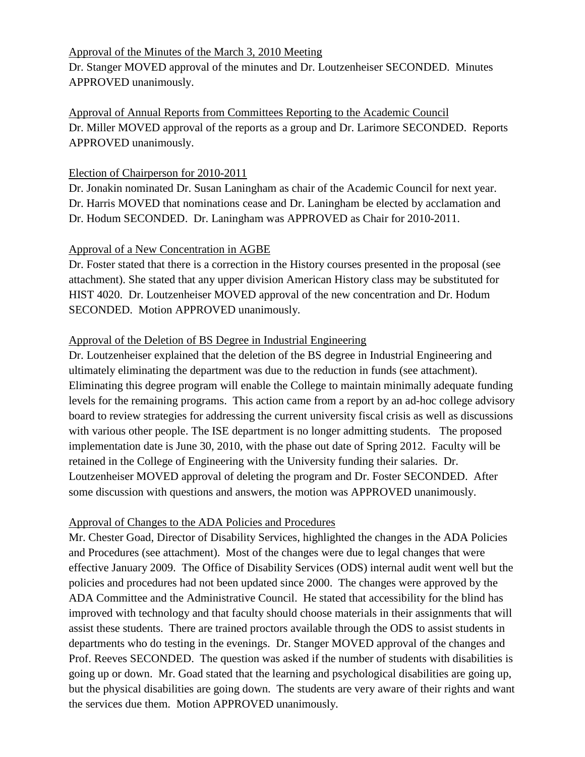# Approval of the Minutes of the March 3, 2010 Meeting

Dr. Stanger MOVED approval of the minutes and Dr. Loutzenheiser SECONDED. Minutes APPROVED unanimously.

Dr. Miller MOVED approval of the reports as a group and Dr. Larimore SECONDED. Reports APPROVED unanimously. Approval of Annual Reports from Committees Reporting to the Academic Council

# Election of Chairperson for 2010-2011

Dr. Jonakin nominated Dr. Susan Laningham as chair of the Academic Council for next year. Dr. Harris MOVED that nominations cease and Dr. Laningham be elected by acclamation and Dr. Hodum SECONDED. Dr. Laningham was APPROVED as Chair for 2010-2011.

### Approval of a New Concentration in AGBE

Dr. Foster stated that there is a correction in the History courses presented in the proposal (see attachment). She stated that any upper division American History class may be substituted for HIST 4020. Dr. Loutzenheiser MOVED approval of the new concentration and Dr. Hodum SECONDED. Motion APPROVED unanimously.

### Approval of the Deletion of BS Degree in Industrial Engineering

Dr. Loutzenheiser explained that the deletion of the BS degree in Industrial Engineering and ultimately eliminating the department was due to the reduction in funds (see attachment). Eliminating this degree program will enable the College to maintain minimally adequate funding levels for the remaining programs. This action came from a report by an ad-hoc college advisory board to review strategies for addressing the current university fiscal crisis as well as discussions with various other people. The ISE department is no longer admitting students. The proposed implementation date is June 30, 2010, with the phase out date of Spring 2012. Faculty will be retained in the College of Engineering with the University funding their salaries. Dr. Loutzenheiser MOVED approval of deleting the program and Dr. Foster SECONDED. After some discussion with questions and answers, the motion was APPROVED unanimously.

# Approval of Changes to the ADA Policies and Procedures

Mr. Chester Goad, Director of Disability Services, highlighted the changes in the ADA Policies and Procedures (see attachment). Most of the changes were due to legal changes that were effective January 2009. The Office of Disability Services (ODS) internal audit went well but the policies and procedures had not been updated since 2000. The changes were approved by the ADA Committee and the Administrative Council. He stated that accessibility for the blind has improved with technology and that faculty should choose materials in their assignments that will assist these students. There are trained proctors available through the ODS to assist students in departments who do testing in the evenings. Dr. Stanger MOVED approval of the changes and Prof. Reeves SECONDED. The question was asked if the number of students with disabilities is going up or down. Mr. Goad stated that the learning and psychological disabilities are going up, but the physical disabilities are going down. The students are very aware of their rights and want the services due them. Motion APPROVED unanimously.